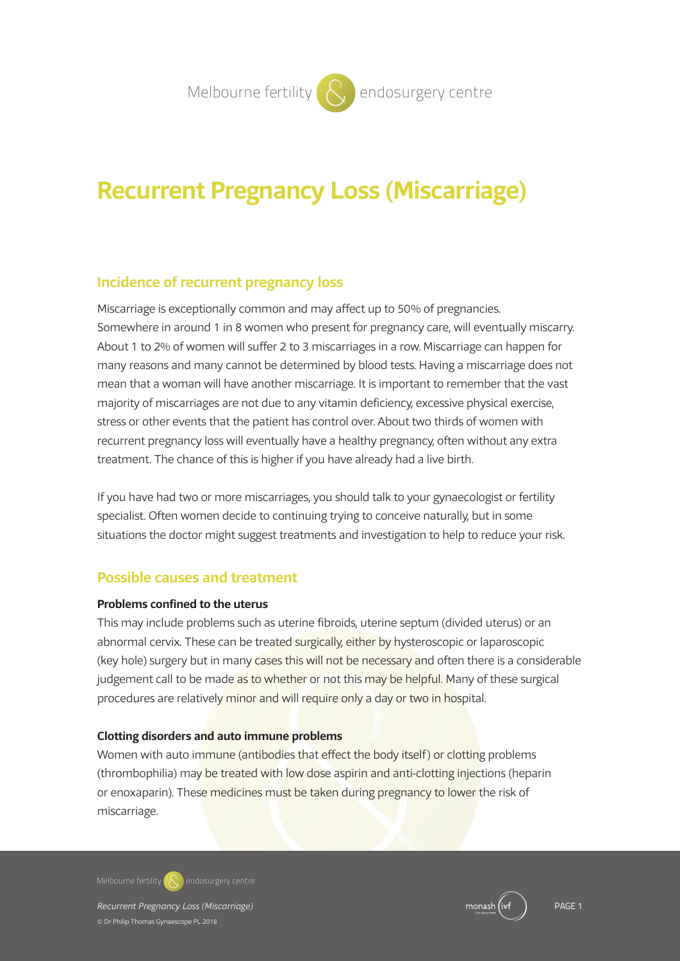# **Recurrent Pregnancy Loss (Miscarriage)**

## **Incidence of recurrent pregnancy loss**

Miscarriage is exceptionally common and may affect up to 50% of pregnancies. Somewhere in around 1 in 8 women who present for pregnancy care, will eventually miscarry. About 1 to 2% of women will suffer 2 to 3 miscarriages in a row. Miscarriage can happen for many reasons and many cannot be determined by blood tests. Having a miscarriage does not mean that a woman will have another miscarriage. It is important to remember that the vast majority of miscarriages are not due to any vitamin deficiency, excessive physical exercise, stress or other events that the patient has control over. About two thirds of women with recurrent pregnancy loss will eventually have a healthy pregnancy, often without any extra treatment. The chance of this is higher if you have already had a live birth.

If you have had two or more miscarriages, you should talk to your gynaecologist or fertility specialist. Often women decide to continuing trying to conceive naturally, but in some situations the doctor might suggest treatments and investigation to help to reduce your risk.

### **Possible causes and treatment**

#### **Problems confined to the uterus**

This may include problems such as uterine fibroids, uterine septum (divided uterus) or an abnormal cervix. These can be treated surgically, either by hysteroscopic or laparoscopic (key hole) surgery but in many cases this will not be necessary and often there is a considerable judgement call to be made as to whether or not this may be helpful. Many of these surgical procedures are relatively minor and will require only a day or two in hospital.

#### **Clotting disorders and auto immune problems**

Women with auto immune (antibodies that effect the body itself) or clotting problems (thrombophilia) may be treated with low dose aspirin and anti-clotting injections (heparin or enoxaparin). These medicines must be taken during pregnancy to lower the risk of miscarriage.

**Melbourne fertility endosurgery centre**

*Recurrent Pregnancy Loss (Miscarriage)* PAGE 1 © Dr Philip Thomas Gynaescope PL 2018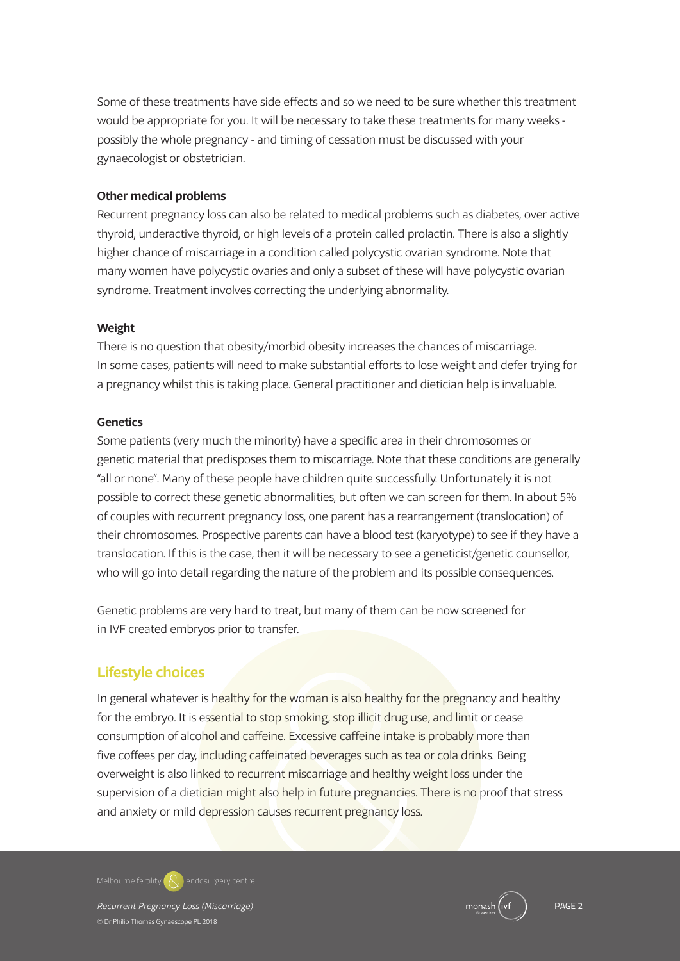Some of these treatments have side effects and so we need to be sure whether this treatment would be appropriate for you. It will be necessary to take these treatments for many weeks possibly the whole pregnancy - and timing of cessation must be discussed with your gynaecologist or obstetrician.

#### **Other medical problems**

Recurrent pregnancy loss can also be related to medical problems such as diabetes, over active thyroid, underactive thyroid, or high levels of a protein called prolactin. There is also a slightly higher chance of miscarriage in a condition called polycystic ovarian syndrome. Note that many women have polycystic ovaries and only a subset of these will have polycystic ovarian syndrome. Treatment involves correcting the underlying abnormality.

#### **Weight**

There is no question that obesity/morbid obesity increases the chances of miscarriage. In some cases, patients will need to make substantial efforts to lose weight and defer trying for a pregnancy whilst this is taking place. General practitioner and dietician help is invaluable.

#### **Genetics**

Some patients (very much the minority) have a specific area in their chromosomes or genetic material that predisposes them to miscarriage. Note that these conditions are generally "all or none". Many of these people have children quite successfully. Unfortunately it is not possible to correct these genetic abnormalities, but often we can screen for them. In about 5% of couples with recurrent pregnancy loss, one parent has a rearrangement (translocation) of their chromosomes. Prospective parents can have a blood test (karyotype) to see if they have a translocation. If this is the case, then it will be necessary to see a geneticist/genetic counsellor, who will go into detail regarding the nature of the problem and its possible consequences.

Genetic problems are very hard to treat, but many of them can be now screened for in IVF created embryos prior to transfer.

## **Lifestyle choices**

In general whatever is healthy for the woman is also healthy for the pregnancy and healthy for the embryo. It is essential to stop smoking, stop illicit drug use, and limit or cease consumption of alcohol and caffeine. Excessive caffeine intake is probably more than five coffees per day, including caffeinated beverages such as tea or cola drinks. Being overweight is also linked to recurrent miscarriage and healthy weight loss under the supervision of a dietician might also help in future pregnancies. There is no proof that stress and anxiety or mild depression causes recurrent pregnancy loss.

**Melbourne fertility endosurgery centre**

*Recurrent Pregnancy Loss (Miscarriage)* PAGE 2 © Dr Philip Thomas Gynaescope PL 2018